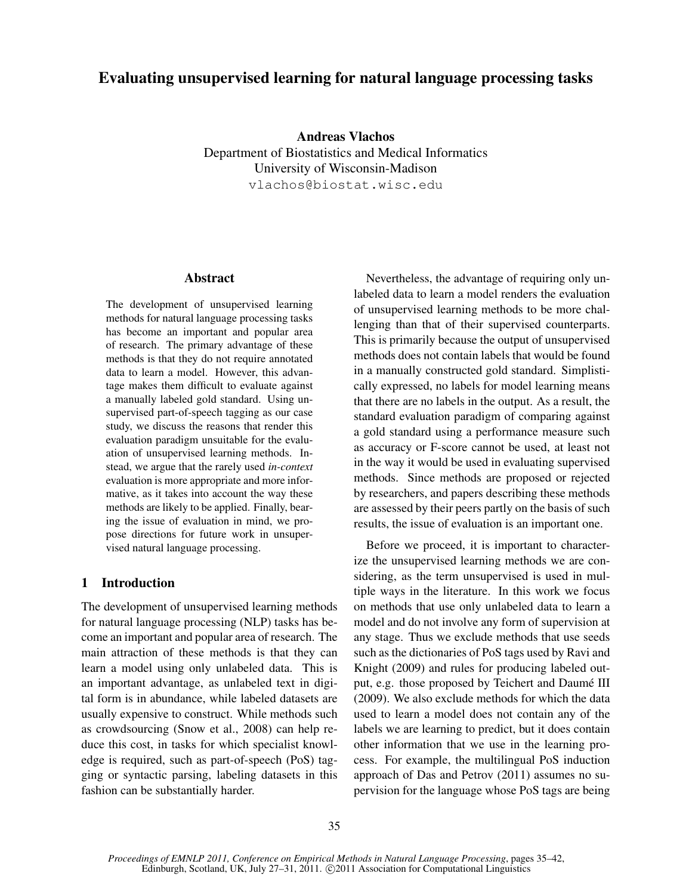# Evaluating unsupervised learning for natural language processing tasks

Andreas Vlachos Department of Biostatistics and Medical Informatics University of Wisconsin-Madison vlachos@biostat.wisc.edu

#### Abstract

The development of unsupervised learning methods for natural language processing tasks has become an important and popular area of research. The primary advantage of these methods is that they do not require annotated data to learn a model. However, this advantage makes them difficult to evaluate against a manually labeled gold standard. Using unsupervised part-of-speech tagging as our case study, we discuss the reasons that render this evaluation paradigm unsuitable for the evaluation of unsupervised learning methods. Instead, we argue that the rarely used *in-context* evaluation is more appropriate and more informative, as it takes into account the way these methods are likely to be applied. Finally, bearing the issue of evaluation in mind, we propose directions for future work in unsupervised natural language processing.

### 1 Introduction

The development of unsupervised learning methods for natural language processing (NLP) tasks has become an important and popular area of research. The main attraction of these methods is that they can learn a model using only unlabeled data. This is an important advantage, as unlabeled text in digital form is in abundance, while labeled datasets are usually expensive to construct. While methods such as crowdsourcing (Snow et al., 2008) can help reduce this cost, in tasks for which specialist knowledge is required, such as part-of-speech (PoS) tagging or syntactic parsing, labeling datasets in this fashion can be substantially harder.

Nevertheless, the advantage of requiring only unlabeled data to learn a model renders the evaluation of unsupervised learning methods to be more challenging than that of their supervised counterparts. This is primarily because the output of unsupervised methods does not contain labels that would be found in a manually constructed gold standard. Simplistically expressed, no labels for model learning means that there are no labels in the output. As a result, the standard evaluation paradigm of comparing against a gold standard using a performance measure such as accuracy or F-score cannot be used, at least not in the way it would be used in evaluating supervised methods. Since methods are proposed or rejected by researchers, and papers describing these methods are assessed by their peers partly on the basis of such results, the issue of evaluation is an important one.

Before we proceed, it is important to characterize the unsupervised learning methods we are considering, as the term unsupervised is used in multiple ways in the literature. In this work we focus on methods that use only unlabeled data to learn a model and do not involve any form of supervision at any stage. Thus we exclude methods that use seeds such as the dictionaries of PoS tags used by Ravi and Knight (2009) and rules for producing labeled output, e.g. those proposed by Teichert and Daumé III (2009). We also exclude methods for which the data used to learn a model does not contain any of the labels we are learning to predict, but it does contain other information that we use in the learning process. For example, the multilingual PoS induction approach of Das and Petrov (2011) assumes no supervision for the language whose PoS tags are being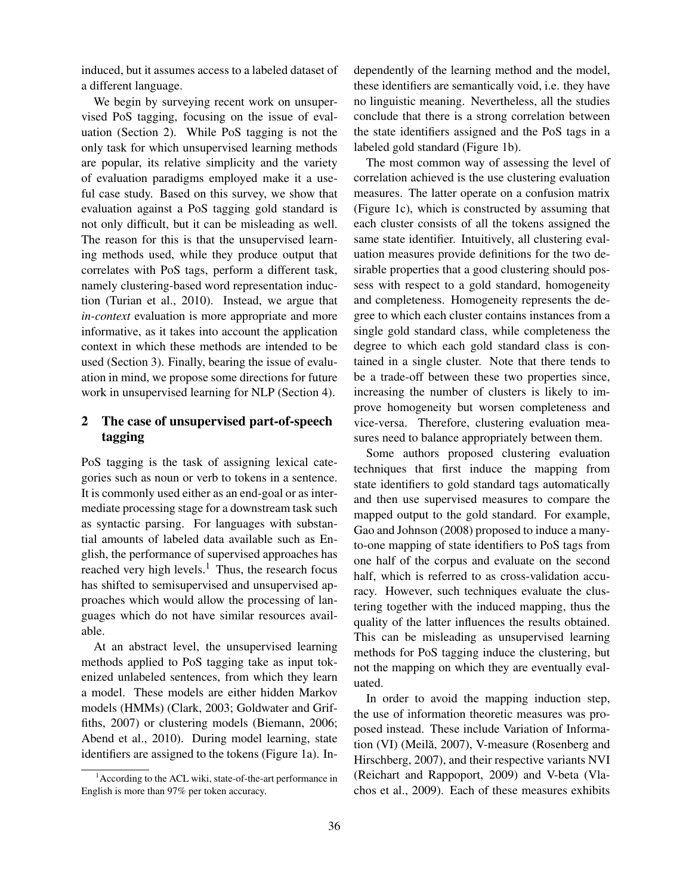induced, but it assumes access to a labeled dataset of a different language.

We begin by surveying recent work on unsupervised PoS tagging, focusing on the issue of evaluation (Section 2). While PoS tagging is not the only task for which unsupervised learning methods are popular, its relative simplicity and the variety of evaluation paradigms employed make it a useful case study. Based on this survey, we show that evaluation against a PoS tagging gold standard is not only difficult, but it can be misleading as well. The reason for this is that the unsupervised learning methods used, while they produce output that correlates with PoS tags, perform a different task, namely clustering-based word representation induction (Turian et al., 2010). Instead, we argue that *in-context* evaluation is more appropriate and more informative, as it takes into account the application context in which these methods are intended to be used (Section 3). Finally, bearing the issue of evaluation in mind, we propose some directions for future work in unsupervised learning for NLP (Section 4).

## 2 The case of unsupervised part-of-speech tagging

PoS tagging is the task of assigning lexical categories such as noun or verb to tokens in a sentence. It is commonly used either as an end-goal or as intermediate processing stage for a downstream task such as syntactic parsing. For languages with substantial amounts of labeled data available such as English, the performance of supervised approaches has reached very high levels.<sup>1</sup> Thus, the research focus has shifted to semisupervised and unsupervised approaches which would allow the processing of languages which do not have similar resources available.

At an abstract level, the unsupervised learning methods applied to PoS tagging take as input tokenized unlabeled sentences, from which they learn a model. These models are either hidden Markov models (HMMs) (Clark, 2003; Goldwater and Griffiths, 2007) or clustering models (Biemann, 2006; Abend et al., 2010). During model learning, state identifiers are assigned to the tokens (Figure 1a). Independently of the learning method and the model, these identifiers are semantically void, i.e. they have no linguistic meaning. Nevertheless, all the studies conclude that there is a strong correlation between the state identifiers assigned and the PoS tags in a labeled gold standard (Figure 1b).

The most common way of assessing the level of correlation achieved is the use clustering evaluation measures. The latter operate on a confusion matrix (Figure 1c), which is constructed by assuming that each cluster consists of all the tokens assigned the same state identifier. Intuitively, all clustering evaluation measures provide definitions for the two desirable properties that a good clustering should possess with respect to a gold standard, homogeneity and completeness. Homogeneity represents the degree to which each cluster contains instances from a single gold standard class, while completeness the degree to which each gold standard class is contained in a single cluster. Note that there tends to be a trade-off between these two properties since, increasing the number of clusters is likely to improve homogeneity but worsen completeness and vice-versa. Therefore, clustering evaluation measures need to balance appropriately between them.

Some authors proposed clustering evaluation techniques that first induce the mapping from state identifiers to gold standard tags automatically and then use supervised measures to compare the mapped output to the gold standard. For example, Gao and Johnson (2008) proposed to induce a manyto-one mapping of state identifiers to PoS tags from one half of the corpus and evaluate on the second half, which is referred to as cross-validation accuracy. However, such techniques evaluate the clustering together with the induced mapping, thus the quality of the latter influences the results obtained. This can be misleading as unsupervised learning methods for PoS tagging induce the clustering, but not the mapping on which they are eventually evaluated.

In order to avoid the mapping induction step, the use of information theoretic measures was proposed instead. These include Variation of Information (VI) (Meilă, 2007), V-measure (Rosenberg and Hirschberg, 2007), and their respective variants NVI (Reichart and Rappoport, 2009) and V-beta (Vlachos et al., 2009). Each of these measures exhibits

<sup>&</sup>lt;sup>1</sup> According to the ACL wiki, state-of-the-art performance in English is more than 97% per token accuracy.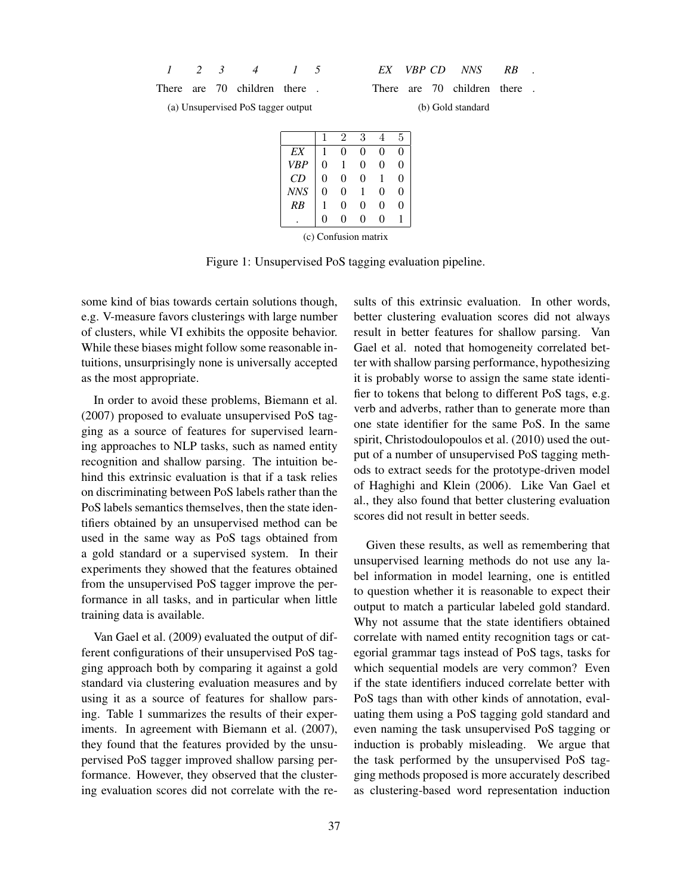*1 2 3 4 1 5*

*EX VBP CD NNS RB .*

There are 70 children there. (a) Unsupervised PoS tagger output

There are 70 children there. (b) Gold standard

|            |          | 2 | 3 |   | 5 |
|------------|----------|---|---|---|---|
| EX         |          | 0 | 0 | 0 | 0 |
| <b>VBP</b> | 0        |   | 0 | 0 | 0 |
| CD         | 0        | 0 | 0 |   | 0 |
| <b>NNS</b> | 0        | 0 |   | 0 | 0 |
| RB         |          | 0 | 0 | 0 | 0 |
|            | $\theta$ | 0 | 0 | 0 |   |

(c) Confusion matrix

Figure 1: Unsupervised PoS tagging evaluation pipeline.

some kind of bias towards certain solutions though, e.g. V-measure favors clusterings with large number of clusters, while VI exhibits the opposite behavior. While these biases might follow some reasonable intuitions, unsurprisingly none is universally accepted as the most appropriate.

In order to avoid these problems, Biemann et al. (2007) proposed to evaluate unsupervised PoS tagging as a source of features for supervised learning approaches to NLP tasks, such as named entity recognition and shallow parsing. The intuition behind this extrinsic evaluation is that if a task relies on discriminating between PoS labels rather than the PoS labels semantics themselves, then the state identifiers obtained by an unsupervised method can be used in the same way as PoS tags obtained from a gold standard or a supervised system. In their experiments they showed that the features obtained from the unsupervised PoS tagger improve the performance in all tasks, and in particular when little training data is available.

Van Gael et al. (2009) evaluated the output of different configurations of their unsupervised PoS tagging approach both by comparing it against a gold standard via clustering evaluation measures and by using it as a source of features for shallow parsing. Table 1 summarizes the results of their experiments. In agreement with Biemann et al.  $(2007)$ , they found that the features provided by the unsupervised PoS tagger improved shallow parsing performance. However, they observed that the clustering evaluation scores did not correlate with the results of this extrinsic evaluation. In other words, better clustering evaluation scores did not always result in better features for shallow parsing. Van Gael et al. noted that homogeneity correlated better with shallow parsing performance, hypothesizing it is probably worse to assign the same state identifier to tokens that belong to different PoS tags, e.g. verb and adverbs, rather than to generate more than one state identifier for the same PoS. In the same spirit, Christodoulopoulos et al. (2010) used the output of a number of unsupervised PoS tagging methods to extract seeds for the prototype-driven model of Haghighi and Klein (2006). Like Van Gael et al., they also found that better clustering evaluation scores did not result in better seeds.

Given these results, as well as remembering that unsupervised learning methods do not use any label information in model learning, one is entitled to question whether it is reasonable to expect their output to match a particular labeled gold standard. Why not assume that the state identifiers obtained correlate with named entity recognition tags or categorial grammar tags instead of PoS tags, tasks for which sequential models are very common? Even if the state identifiers induced correlate better with PoS tags than with other kinds of annotation, evaluating them using a PoS tagging gold standard and even naming the task unsupervised PoS tagging or induction is probably misleading. We argue that the task performed by the unsupervised PoS tagging methods proposed is more accurately described as clustering-based word representation induction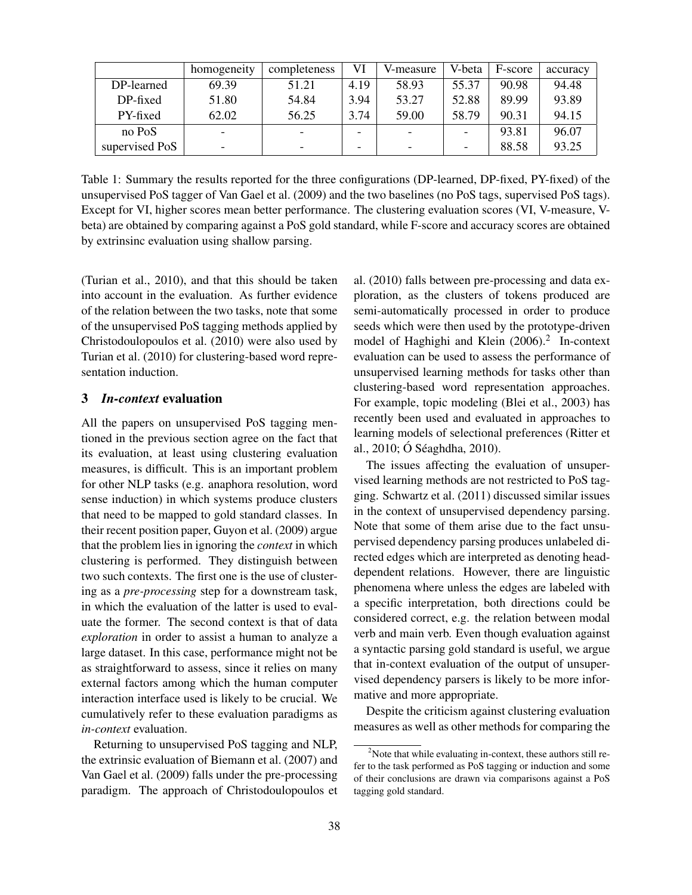|                | homogeneity              | completeness | VI                       | V-measure | V-beta | F-score | accuracy |
|----------------|--------------------------|--------------|--------------------------|-----------|--------|---------|----------|
| DP-learned     | 69.39                    | 51.21        | 4.19                     | 58.93     | 55.37  | 90.98   | 94.48    |
| DP-fixed       | 51.80                    | 54.84        | 3.94                     | 53.27     | 52.88  | 89.99   | 93.89    |
| PY-fixed       | 62.02                    | 56.25        | 3.74                     | 59.00     | 58.79  | 90.31   | 94.15    |
| no PoS         | $\overline{\phantom{0}}$ |              | $\overline{\phantom{0}}$ |           |        | 93.81   | 96.07    |
| supervised PoS | $\overline{\phantom{0}}$ | -            | $\overline{\phantom{0}}$ |           | -      | 88.58   | 93.25    |

Table 1: Summary the results reported for the three configurations (DP-learned, DP-fixed, PY-fixed) of the unsupervised PoS tagger of Van Gael et al. (2009) and the two baselines (no PoS tags, supervised PoS tags). Except for VI, higher scores mean better performance. The clustering evaluation scores (VI, V-measure, Vbeta) are obtained by comparing against a PoS gold standard, while F-score and accuracy scores are obtained by extrinsinc evaluation using shallow parsing.

(Turian et al., 2010), and that this should be taken into account in the evaluation. As further evidence of the relation between the two tasks, note that some of the unsupervised PoS tagging methods applied by Christodoulopoulos et al. (2010) were also used by Turian et al. (2010) for clustering-based word representation induction.

#### 3 *In-context* evaluation

All the papers on unsupervised PoS tagging mentioned in the previous section agree on the fact that its evaluation, at least using clustering evaluation measures, is difficult. This is an important problem for other NLP tasks (e.g. anaphora resolution, word sense induction) in which systems produce clusters that need to be mapped to gold standard classes. In their recent position paper, Guyon et al. (2009) argue that the problem lies in ignoring the *context* in which clustering is performed. They distinguish between two such contexts. The first one is the use of clustering as a *pre-processing* step for a downstream task, in which the evaluation of the latter is used to evaluate the former. The second context is that of data *exploration* in order to assist a human to analyze a large dataset. In this case, performance might not be as straightforward to assess, since it relies on many external factors among which the human computer interaction interface used is likely to be crucial. We cumulatively refer to these evaluation paradigms as *in-context* evaluation.

Returning to unsupervised PoS tagging and NLP, the extrinsic evaluation of Biemann et al. (2007) and Van Gael et al. (2009) falls under the pre-processing paradigm. The approach of Christodoulopoulos et al. (2010) falls between pre-processing and data exploration, as the clusters of tokens produced are semi-automatically processed in order to produce seeds which were then used by the prototype-driven model of Haghighi and Klein (2006).<sup>2</sup> In-context evaluation can be used to assess the performance of unsupervised learning methods for tasks other than clustering-based word representation approaches. For example, topic modeling (Blei et al., 2003) has recently been used and evaluated in approaches to learning models of selectional preferences (Ritter et al.,  $2010$ ; Ó Séaghdha,  $2010$ ).

The issues affecting the evaluation of unsupervised learning methods are not restricted to PoS tagging. Schwartz et al. (2011) discussed similar issues in the context of unsupervised dependency parsing. Note that some of them arise due to the fact unsupervised dependency parsing produces unlabeled directed edges which are interpreted as denoting headdependent relations. However, there are linguistic phenomena where unless the edges are labeled with a specific interpretation, both directions could be considered correct, e.g. the relation between modal verb and main verb. Even though evaluation against a syntactic parsing gold standard is useful, we argue that in-context evaluation of the output of unsupervised dependency parsers is likely to be more informative and more appropriate.

Despite the criticism against clustering evaluation measures as well as other methods for comparing the

<sup>&</sup>lt;sup>2</sup>Note that while evaluating in-context, these authors still refer to the task performed as PoS tagging or induction and some of their conclusions are drawn via comparisons against a PoS tagging gold standard.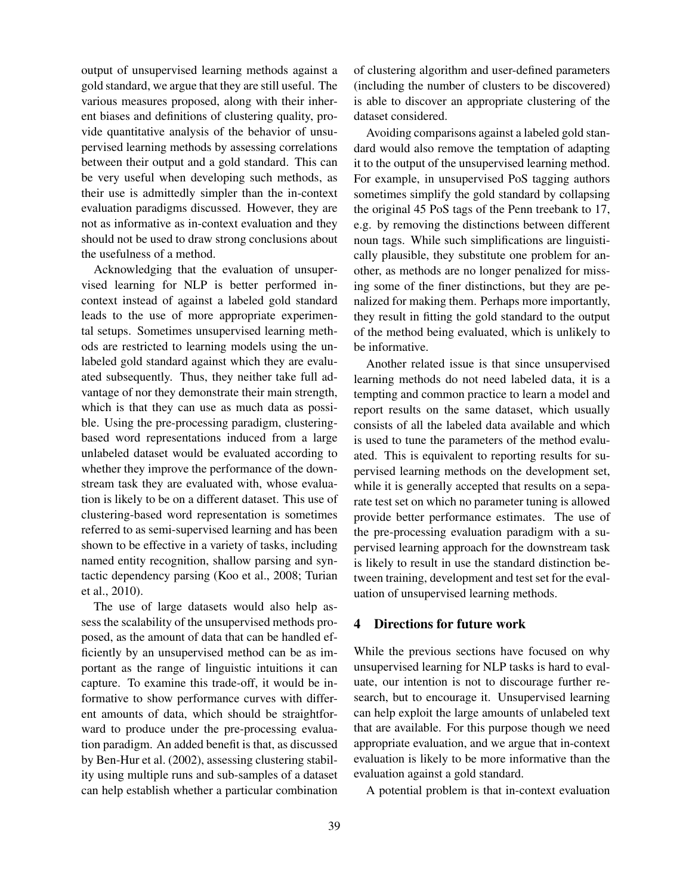output of unsupervised learning methods against a gold standard, we argue that they are still useful. The various measures proposed, along with their inherent biases and definitions of clustering quality, provide quantitative analysis of the behavior of unsupervised learning methods by assessing correlations between their output and a gold standard. This can be very useful when developing such methods, as their use is admittedly simpler than the in-context evaluation paradigms discussed. However, they are not as informative as in-context evaluation and they should not be used to draw strong conclusions about the usefulness of a method.

Acknowledging that the evaluation of unsupervised learning for NLP is better performed incontext instead of against a labeled gold standard leads to the use of more appropriate experimental setups. Sometimes unsupervised learning methods are restricted to learning models using the unlabeled gold standard against which they are evaluated subsequently. Thus, they neither take full advantage of nor they demonstrate their main strength, which is that they can use as much data as possible. Using the pre-processing paradigm, clusteringbased word representations induced from a large unlabeled dataset would be evaluated according to whether they improve the performance of the downstream task they are evaluated with, whose evaluation is likely to be on a different dataset. This use of clustering-based word representation is sometimes referred to as semi-supervised learning and has been shown to be effective in a variety of tasks, including named entity recognition, shallow parsing and syntactic dependency parsing (Koo et al., 2008; Turian et al., 2010).

The use of large datasets would also help assess the scalability of the unsupervised methods proposed, as the amount of data that can be handled efficiently by an unsupervised method can be as important as the range of linguistic intuitions it can capture. To examine this trade-off, it would be informative to show performance curves with different amounts of data, which should be straightforward to produce under the pre-processing evaluation paradigm. An added benefit is that, as discussed by Ben-Hur et al. (2002), assessing clustering stability using multiple runs and sub-samples of a dataset can help establish whether a particular combination

of clustering algorithm and user-defined parameters (including the number of clusters to be discovered) is able to discover an appropriate clustering of the dataset considered.

Avoiding comparisons against a labeled gold standard would also remove the temptation of adapting it to the output of the unsupervised learning method. For example, in unsupervised PoS tagging authors sometimes simplify the gold standard by collapsing the original 45 PoS tags of the Penn treebank to 17, e.g. by removing the distinctions between different noun tags. While such simplifications are linguistically plausible, they substitute one problem for another, as methods are no longer penalized for missing some of the finer distinctions, but they are penalized for making them. Perhaps more importantly, they result in fitting the gold standard to the output of the method being evaluated, which is unlikely to be informative.

Another related issue is that since unsupervised learning methods do not need labeled data, it is a tempting and common practice to learn a model and report results on the same dataset, which usually consists of all the labeled data available and which is used to tune the parameters of the method evaluated. This is equivalent to reporting results for supervised learning methods on the development set, while it is generally accepted that results on a separate test set on which no parameter tuning is allowed provide better performance estimates. The use of the pre-processing evaluation paradigm with a supervised learning approach for the downstream task is likely to result in use the standard distinction between training, development and test set for the evaluation of unsupervised learning methods.

#### 4 Directions for future work

While the previous sections have focused on why unsupervised learning for NLP tasks is hard to evaluate, our intention is not to discourage further research, but to encourage it. Unsupervised learning can help exploit the large amounts of unlabeled text that are available. For this purpose though we need appropriate evaluation, and we argue that in-context evaluation is likely to be more informative than the evaluation against a gold standard.

A potential problem is that in-context evaluation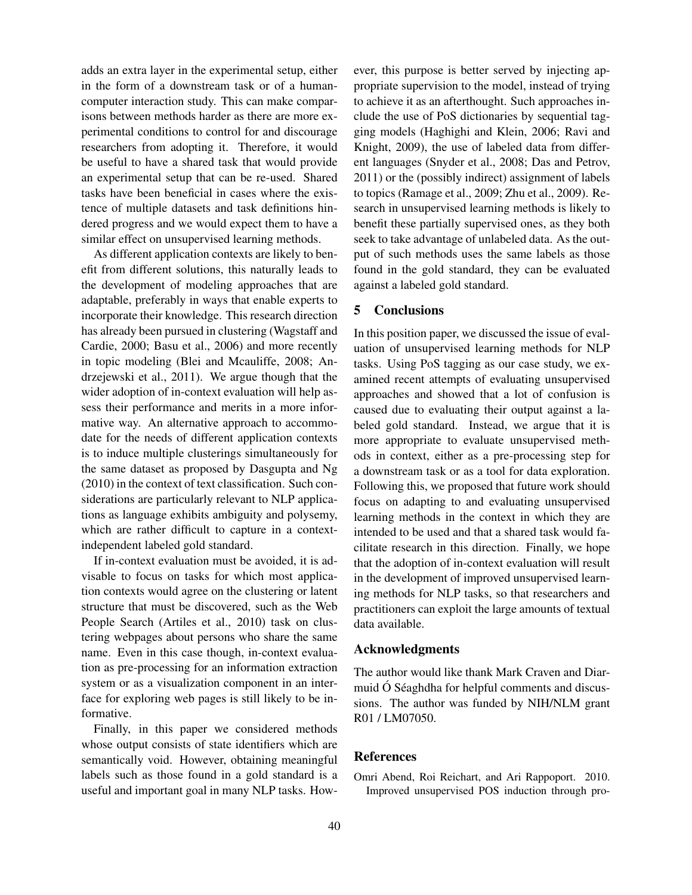adds an extra layer in the experimental setup, either in the form of a downstream task or of a humancomputer interaction study. This can make comparisons between methods harder as there are more experimental conditions to control for and discourage researchers from adopting it. Therefore, it would be useful to have a shared task that would provide an experimental setup that can be re-used. Shared tasks have been beneficial in cases where the existence of multiple datasets and task definitions hindered progress and we would expect them to have a similar effect on unsupervised learning methods.

As different application contexts are likely to benefit from different solutions, this naturally leads to the development of modeling approaches that are adaptable, preferably in ways that enable experts to incorporate their knowledge. This research direction has already been pursued in clustering (Wagstaff and Cardie, 2000; Basu et al., 2006) and more recently in topic modeling (Blei and Mcauliffe, 2008; Andrzejewski et al., 2011). We argue though that the wider adoption of in-context evaluation will help assess their performance and merits in a more informative way. An alternative approach to accommodate for the needs of different application contexts is to induce multiple clusterings simultaneously for the same dataset as proposed by Dasgupta and Ng (2010) in the context of text classification. Such considerations are particularly relevant to NLP applications as language exhibits ambiguity and polysemy, which are rather difficult to capture in a contextindependent labeled gold standard.

If in-context evaluation must be avoided, it is advisable to focus on tasks for which most application contexts would agree on the clustering or latent structure that must be discovered, such as the Web People Search (Artiles et al., 2010) task on clustering webpages about persons who share the same name. Even in this case though, in-context evaluation as pre-processing for an information extraction system or as a visualization component in an interface for exploring web pages is still likely to be informative.

Finally, in this paper we considered methods whose output consists of state identifiers which are semantically void. However, obtaining meaningful labels such as those found in a gold standard is a useful and important goal in many NLP tasks. However, this purpose is better served by injecting appropriate supervision to the model, instead of trying to achieve it as an afterthought. Such approaches include the use of PoS dictionaries by sequential tagging models (Haghighi and Klein, 2006; Ravi and Knight, 2009), the use of labeled data from different languages (Snyder et al., 2008; Das and Petrov, 2011) or the (possibly indirect) assignment of labels to topics (Ramage et al., 2009; Zhu et al., 2009). Research in unsupervised learning methods is likely to benefit these partially supervised ones, as they both seek to take advantage of unlabeled data. As the output of such methods uses the same labels as those found in the gold standard, they can be evaluated against a labeled gold standard.

#### 5 Conclusions

In this position paper, we discussed the issue of evaluation of unsupervised learning methods for NLP tasks. Using PoS tagging as our case study, we examined recent attempts of evaluating unsupervised approaches and showed that a lot of confusion is caused due to evaluating their output against a labeled gold standard. Instead, we argue that it is more appropriate to evaluate unsupervised methods in context, either as a pre-processing step for a downstream task or as a tool for data exploration. Following this, we proposed that future work should focus on adapting to and evaluating unsupervised learning methods in the context in which they are intended to be used and that a shared task would facilitate research in this direction. Finally, we hope that the adoption of in-context evaluation will result in the development of improved unsupervised learning methods for NLP tasks, so that researchers and practitioners can exploit the large amounts of textual data available.

#### Acknowledgments

The author would like thank Mark Craven and Diarmuid  $\acute{o}$  Séaghdha for helpful comments and discussions. The author was funded by NIH/NLM grant R01 / LM07050.

#### References

Omri Abend, Roi Reichart, and Ari Rappoport. 2010. Improved unsupervised POS induction through pro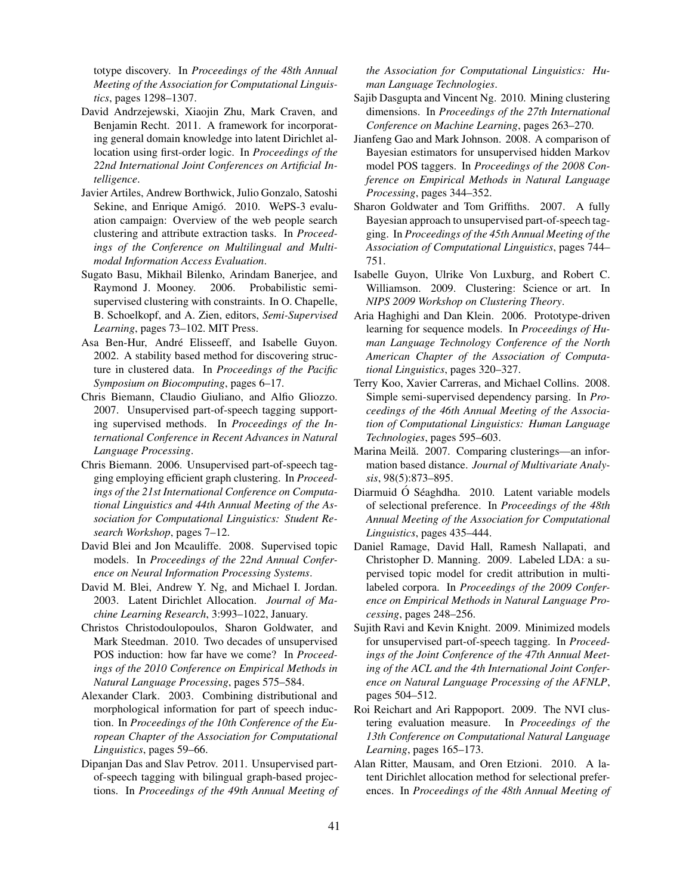totype discovery. In *Proceedings of the 48th Annual Meeting of the Association for Computational Linguistics*, pages 1298–1307.

- David Andrzejewski, Xiaojin Zhu, Mark Craven, and Benjamin Recht. 2011. A framework for incorporating general domain knowledge into latent Dirichlet allocation using first-order logic. In *Proceedings of the 22nd International Joint Conferences on Artificial Intelligence*.
- Javier Artiles, Andrew Borthwick, Julio Gonzalo, Satoshi Sekine, and Enrique Amigó. 2010. WePS-3 evaluation campaign: Overview of the web people search clustering and attribute extraction tasks. In *Proceedings of the Conference on Multilingual and Multimodal Information Access Evaluation*.
- Sugato Basu, Mikhail Bilenko, Arindam Banerjee, and Raymond J. Mooney. 2006. Probabilistic semisupervised clustering with constraints. In O. Chapelle, B. Schoelkopf, and A. Zien, editors, *Semi-Supervised Learning*, pages 73–102. MIT Press.
- Asa Ben-Hur, André Elisseeff, and Isabelle Guyon. 2002. A stability based method for discovering structure in clustered data. In *Proceedings of the Pacific Symposium on Biocomputing*, pages 6–17.
- Chris Biemann, Claudio Giuliano, and Alfio Gliozzo. 2007. Unsupervised part-of-speech tagging supporting supervised methods. In *Proceedings of the International Conference in Recent Advances in Natural Language Processing*.
- Chris Biemann. 2006. Unsupervised part-of-speech tagging employing efficient graph clustering. In *Proceedings of the 21st International Conference on Computational Linguistics and 44th Annual Meeting of the Association for Computational Linguistics: Student Research Workshop*, pages 7–12.
- David Blei and Jon Mcauliffe. 2008. Supervised topic models. In *Proceedings of the 22nd Annual Conference on Neural Information Processing Systems*.
- David M. Blei, Andrew Y. Ng, and Michael I. Jordan. 2003. Latent Dirichlet Allocation. *Journal of Machine Learning Research*, 3:993–1022, January.
- Christos Christodoulopoulos, Sharon Goldwater, and Mark Steedman. 2010. Two decades of unsupervised POS induction: how far have we come? In *Proceedings of the 2010 Conference on Empirical Methods in Natural Language Processing*, pages 575–584.
- Alexander Clark. 2003. Combining distributional and morphological information for part of speech induction. In *Proceedings of the 10th Conference of the European Chapter of the Association for Computational Linguistics*, pages 59–66.
- Dipanjan Das and Slav Petrov. 2011. Unsupervised partof-speech tagging with bilingual graph-based projections. In *Proceedings of the 49th Annual Meeting of*

*the Association for Computational Linguistics: Human Language Technologies*.

- Sajib Dasgupta and Vincent Ng. 2010. Mining clustering dimensions. In *Proceedings of the 27th International Conference on Machine Learning*, pages 263–270.
- Jianfeng Gao and Mark Johnson. 2008. A comparison of Bayesian estimators for unsupervised hidden Markov model POS taggers. In *Proceedings of the 2008 Conference on Empirical Methods in Natural Language Processing*, pages 344–352.
- Sharon Goldwater and Tom Griffiths. 2007. A fully Bayesian approach to unsupervised part-of-speech tagging. In *Proceedings of the 45th Annual Meeting of the Association of Computational Linguistics*, pages 744– 751.
- Isabelle Guyon, Ulrike Von Luxburg, and Robert C. Williamson. 2009. Clustering: Science or art. In *NIPS 2009 Workshop on Clustering Theory*.
- Aria Haghighi and Dan Klein. 2006. Prototype-driven learning for sequence models. In *Proceedings of Human Language Technology Conference of the North American Chapter of the Association of Computational Linguistics*, pages 320–327.
- Terry Koo, Xavier Carreras, and Michael Collins. 2008. Simple semi-supervised dependency parsing. In *Proceedings of the 46th Annual Meeting of the Association of Computational Linguistics: Human Language Technologies*, pages 595–603.
- Marina Meilă. 2007. Comparing clusterings—an information based distance. *Journal of Multivariate Analysis*, 98(5):873–895.
- Diarmuid Ó Séaghdha. 2010. Latent variable models of selectional preference. In *Proceedings of the 48th Annual Meeting of the Association for Computational Linguistics*, pages 435–444.
- Daniel Ramage, David Hall, Ramesh Nallapati, and Christopher D. Manning. 2009. Labeled LDA: a supervised topic model for credit attribution in multilabeled corpora. In *Proceedings of the 2009 Conference on Empirical Methods in Natural Language Processing*, pages 248–256.
- Sujith Ravi and Kevin Knight. 2009. Minimized models for unsupervised part-of-speech tagging. In *Proceedings of the Joint Conference of the 47th Annual Meeting of the ACL and the 4th International Joint Conference on Natural Language Processing of the AFNLP*, pages 504–512.
- Roi Reichart and Ari Rappoport. 2009. The NVI clustering evaluation measure. In *Proceedings of the 13th Conference on Computational Natural Language Learning*, pages 165–173.
- Alan Ritter, Mausam, and Oren Etzioni. 2010. A latent Dirichlet allocation method for selectional preferences. In *Proceedings of the 48th Annual Meeting of*